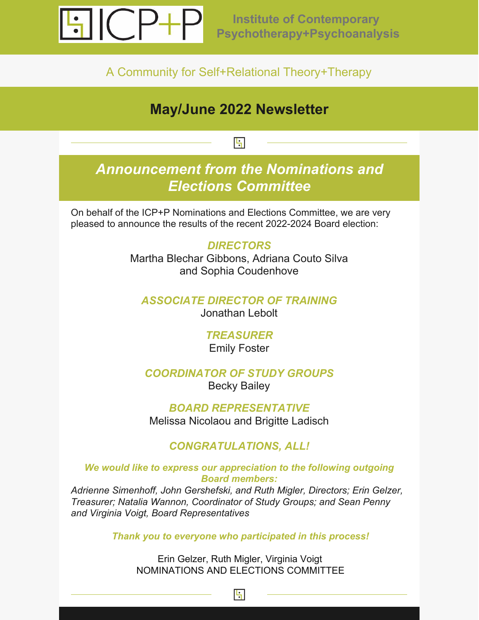

A Community for Self+Relational Theory+Therapy

# **May/June 2022 Newsletter**

## H

# *Announcement from the Nominations and Elections Committee*

On behalf of the ICP+P Nominations and Elections Committee, we are very pleased to announce the results of the recent 2022-2024 Board election:

### *DIRECTORS*

Martha Blechar Gibbons, Adriana Couto Silva and Sophia Coudenhove

#### *ASSOCIATE DIRECTOR OF TRAINING* Jonathan Lebolt

### *TREASURER*

Emily Foster

### *COORDINATOR OF STUDY GROUPS*

Becky Bailey

*BOARD REPRESENTATIVE* Melissa Nicolaou and Brigitte Ladisch

### *CONGRATULATIONS, ALL!*

#### *We would like to express our appreciation to the following outgoing Board members:*

*Adrienne Simenhoff, John Gershefski, and Ruth Migler, Directors; Erin Gelzer, Treasurer; Natalia Wannon, Coordinator of Study Groups; and Sean Penny and Virginia Voigt, Board Representatives*

*Thank you to everyone who participated in this process!*

Erin Gelzer, Ruth Migler, Virginia Voigt NOMINATIONS AND ELECTIONS COMMITTEE

 $|\cdot|$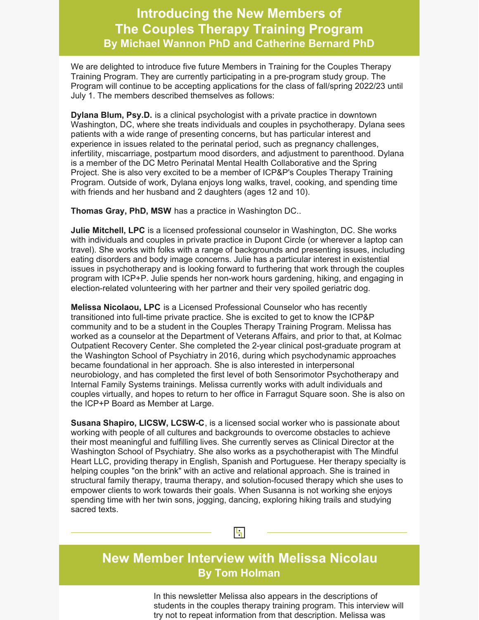## **Introducing the New Members of The Couples Therapy Training Program By Michael Wannon PhD and Catherine Bernard PhD**

We are delighted to introduce five future Members in Training for the Couples Therapy Training Program. They are currently participating in a pre-program study group. The Program will continue to be accepting applications for the class of fall/spring 2022/23 until July 1. The members described themselves as follows:

**Dylana Blum, Psy.D.** is a clinical psychologist with a private practice in downtown Washington, DC, where she treats individuals and couples in psychotherapy. Dylana sees patients with a wide range of presenting concerns, but has particular interest and experience in issues related to the perinatal period, such as pregnancy challenges, infertility, miscarriage, postpartum mood disorders, and adjustment to parenthood. Dylana is a member of the DC Metro Perinatal Mental Health Collaborative and the Spring Project. She is also very excited to be a member of ICP&P's Couples Therapy Training Program. Outside of work, Dylana enjoys long walks, travel, cooking, and spending time with friends and her husband and 2 daughters (ages 12 and 10).

**Thomas Gray, PhD, MSW** has a practice in Washington DC..

**Julie Mitchell, LPC** is a licensed professional counselor in Washington, DC. She works with individuals and couples in private practice in Dupont Circle (or wherever a laptop can travel). She works with folks with a range of backgrounds and presenting issues, including eating disorders and body image concerns. Julie has a particular interest in existential issues in psychotherapy and is looking forward to furthering that work through the couples program with ICP+P. Julie spends her non-work hours gardening, hiking, and engaging in election-related volunteering with her partner and their very spoiled geriatric dog.

**Melissa Nicolaou, LPC** is a Licensed Professional Counselor who has recently transitioned into full-time private practice. She is excited to get to know the ICP&P community and to be a student in the Couples Therapy Training Program. Melissa has worked as a counselor at the Department of Veterans Affairs, and prior to that, at Kolmac Outpatient Recovery Center. She completed the 2-year clinical post-graduate program at the Washington School of Psychiatry in 2016, during which psychodynamic approaches became foundational in her approach. She is also interested in interpersonal neurobiology, and has completed the first level of both Sensorimotor Psychotherapy and Internal Family Systems trainings. Melissa currently works with adult individuals and couples virtually, and hopes to return to her office in Farragut Square soon. She is also on the ICP+P Board as Member at Large.

**Susana Shapiro, LICSW, LCSW-C**, is a licensed social worker who is passionate about working with people of all cultures and backgrounds to overcome obstacles to achieve their most meaningful and fulfilling lives. She currently serves as Clinical Director at the Washington School of Psychiatry. She also works as a psychotherapist with The Mindful Heart LLC, providing therapy in English, Spanish and Portuguese. Her therapy specialty is helping couples "on the brink" with an active and relational approach. She is trained in structural family therapy, trauma therapy, and solution-focused therapy which she uses to empower clients to work towards their goals. When Susanna is not working she enjoys spending time with her twin sons, jogging, dancing, exploring hiking trails and studying sacred texts.



## **New Member Interview with Melissa Nicolau By Tom Holman**

In this newsletter Melissa also appears in the descriptions of students in the couples therapy training program. This interview will try not to repeat information from that description. Melissa was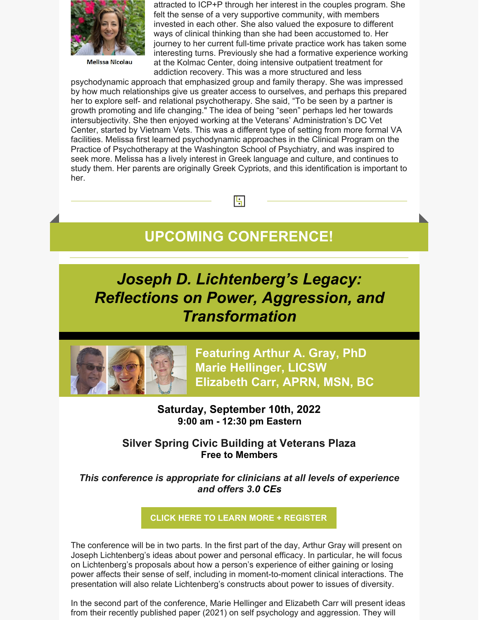

**Melissa Nicolau** 

attracted to ICP+P through her interest in the couples program. She felt the sense of a very supportive community, with members invested in each other. She also valued the exposure to different ways of clinical thinking than she had been accustomed to. Her journey to her current full-time private practice work has taken some interesting turns. Previously she had a formative experience working at the Kolmac Center, doing intensive outpatient treatment for addiction recovery. This was a more structured and less

psychodynamic approach that emphasized group and family therapy. She was impressed by how much relationships give us greater access to ourselves, and perhaps this prepared her to explore self- and relational psychotherapy. She said, "To be seen by a partner is growth promoting and life changing." The idea of being "seen" perhaps led her towards intersubjectivity. She then enjoyed working at the Veterans' Administration's DC Vet Center, started by Vietnam Vets. This was a different type of setting from more formal VA facilities. Melissa first learned psychodynamic approaches in the Clinical Program on the Practice of Psychotherapy at the Washington School of Psychiatry, and was inspired to seek more. Melissa has a lively interest in Greek language and culture, and continues to study them. Her parents are originally Greek Cypriots, and this identification is important to her.

**UPCOMING CONFERENCE!**

 $\left| \cdot \right|$ 

*Joseph D. Lichtenberg's Legacy: Reflections on Power, Aggression, and Transformation*



**Featuring Arthur A. Gray, PhD Marie Hellinger, LICSW Elizabeth Carr, APRN, MSN, BC**

**Saturday, September 10th, 2022 9:00 am - 12:30 pm Eastern**

**Silver Spring Civic Building at Veterans Plaza Free to Members**

*This conference is appropriate for clinicians at all levels of experience and offers 3.0 CEs*

**CLICK HERE TO LEARN MORE + [REGISTER](https://icpeast.org/reflections-on-power-aggression-and-transformation/)**

The conference will be in two parts. In the first part of the day, Arthur Gray will present on Joseph Lichtenberg's ideas about power and personal efficacy. In particular, he will focus on Lichtenberg's proposals about how a person's experience of either gaining or losing power affects their sense of self, including in moment-to-moment clinical interactions. The presentation will also relate Lichtenberg's constructs about power to issues of diversity.

In the second part of the conference, Marie Hellinger and Elizabeth Carr will present ideas from their recently published paper (2021) on self psychology and aggression. They will